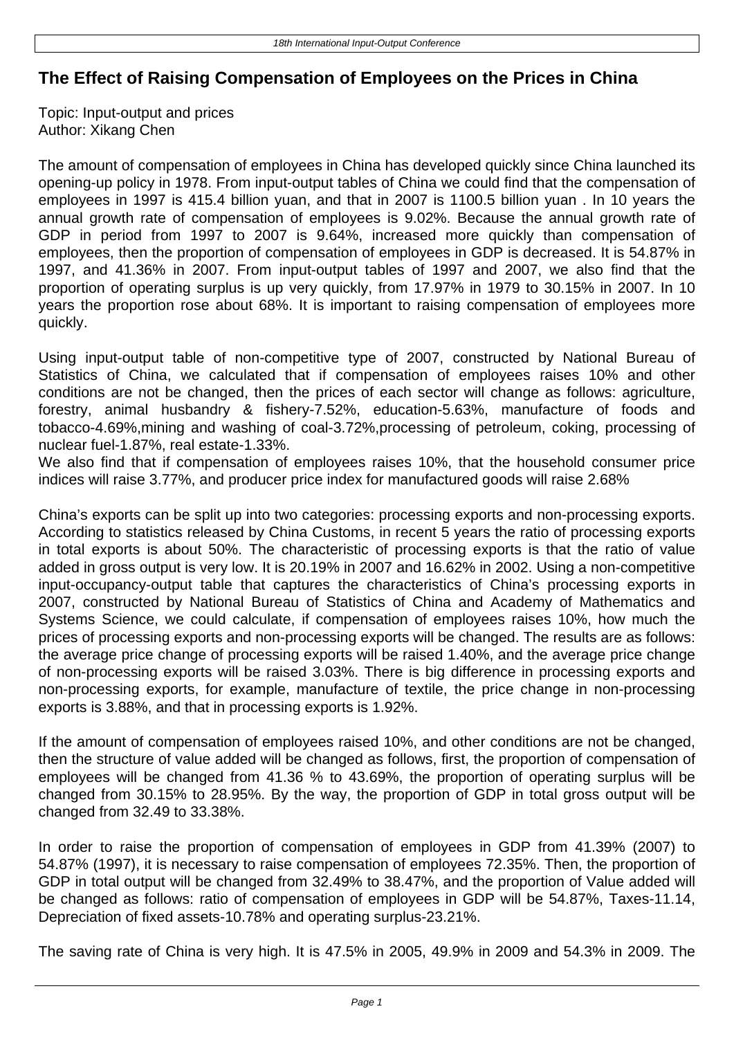## **The Effect of Raising Compensation of Employees on the Prices in China**

Topic: Input-output and prices Author: Xikang Chen

The amount of compensation of employees in China has developed quickly since China launched its opening-up policy in 1978. From input-output tables of China we could find that the compensation of employees in 1997 is 415.4 billion yuan, and that in 2007 is 1100.5 billion yuan . In 10 years the annual growth rate of compensation of employees is 9.02%. Because the annual growth rate of GDP in period from 1997 to 2007 is 9.64%, increased more quickly than compensation of employees, then the proportion of compensation of employees in GDP is decreased. It is 54.87% in 1997, and 41.36% in 2007. From input-output tables of 1997 and 2007, we also find that the proportion of operating surplus is up very quickly, from 17.97% in 1979 to 30.15% in 2007. In 10 years the proportion rose about 68%. It is important to raising compensation of employees more quickly.

Using input-output table of non-competitive type of 2007, constructed by National Bureau of Statistics of China, we calculated that if compensation of employees raises 10% and other conditions are not be changed, then the prices of each sector will change as follows: agriculture, forestry, animal husbandry & fishery-7.52%, education-5.63%, manufacture of foods and tobacco-4.69%,mining and washing of coal-3.72%,processing of petroleum, coking, processing of nuclear fuel-1.87%, real estate-1.33%.

We also find that if compensation of employees raises 10%, that the household consumer price indices will raise 3.77%, and producer price index for manufactured goods will raise 2.68%

China's exports can be split up into two categories: processing exports and non-processing exports. According to statistics released by China Customs, in recent 5 years the ratio of processing exports in total exports is about 50%. The characteristic of processing exports is that the ratio of value added in gross output is very low. It is 20.19% in 2007 and 16.62% in 2002. Using a non-competitive input-occupancy-output table that captures the characteristics of China's processing exports in 2007, constructed by National Bureau of Statistics of China and Academy of Mathematics and Systems Science, we could calculate, if compensation of employees raises 10%, how much the prices of processing exports and non-processing exports will be changed. The results are as follows: the average price change of processing exports will be raised 1.40%, and the average price change of non-processing exports will be raised 3.03%. There is big difference in processing exports and non-processing exports, for example, manufacture of textile, the price change in non-processing exports is 3.88%, and that in processing exports is 1.92%.

If the amount of compensation of employees raised 10%, and other conditions are not be changed, then the structure of value added will be changed as follows, first, the proportion of compensation of employees will be changed from 41.36 % to 43.69%, the proportion of operating surplus will be changed from 30.15% to 28.95%. By the way, the proportion of GDP in total gross output will be changed from 32.49 to 33.38%.

In order to raise the proportion of compensation of employees in GDP from 41.39% (2007) to 54.87% (1997), it is necessary to raise compensation of employees 72.35%. Then, the proportion of GDP in total output will be changed from 32.49% to 38.47%, and the proportion of Value added will be changed as follows: ratio of compensation of employees in GDP will be 54.87%, Taxes-11.14, Depreciation of fixed assets-10.78% and operating surplus-23.21%.

The saving rate of China is very high. It is 47.5% in 2005, 49.9% in 2009 and 54.3% in 2009. The